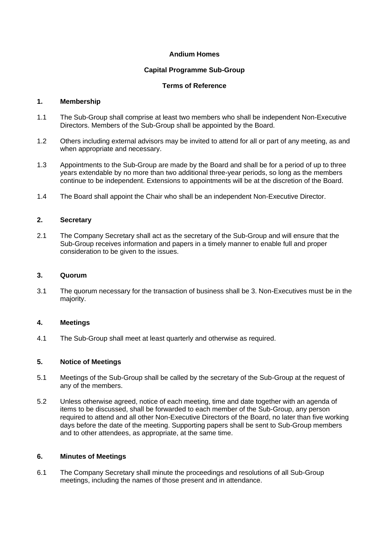#### **Andium Homes**

## **Capital Programme Sub-Group**

# **Terms of Reference**

#### **1. Membership**

- 1.1 The Sub-Group shall comprise at least two members who shall be independent Non-Executive Directors. Members of the Sub-Group shall be appointed by the Board.
- 1.2 Others including external advisors may be invited to attend for all or part of any meeting, as and when appropriate and necessary.
- 1.3 Appointments to the Sub-Group are made by the Board and shall be for a period of up to three years extendable by no more than two additional three-year periods, so long as the members continue to be independent. Extensions to appointments will be at the discretion of the Board.
- 1.4 The Board shall appoint the Chair who shall be an independent Non-Executive Director.

# **2. Secretary**

2.1 The Company Secretary shall act as the secretary of the Sub-Group and will ensure that the Sub-Group receives information and papers in a timely manner to enable full and proper consideration to be given to the issues.

#### **3. Quorum**

3.1 The quorum necessary for the transaction of business shall be 3. Non-Executives must be in the majority.

#### **4. Meetings**

4.1 The Sub-Group shall meet at least quarterly and otherwise as required.

#### **5. Notice of Meetings**

- 5.1 Meetings of the Sub-Group shall be called by the secretary of the Sub-Group at the request of any of the members.
- 5.2 Unless otherwise agreed, notice of each meeting, time and date together with an agenda of items to be discussed, shall be forwarded to each member of the Sub-Group, any person required to attend and all other Non-Executive Directors of the Board, no later than five working days before the date of the meeting. Supporting papers shall be sent to Sub-Group members and to other attendees, as appropriate, at the same time.

#### **6. Minutes of Meetings**

6.1 The Company Secretary shall minute the proceedings and resolutions of all Sub-Group meetings, including the names of those present and in attendance.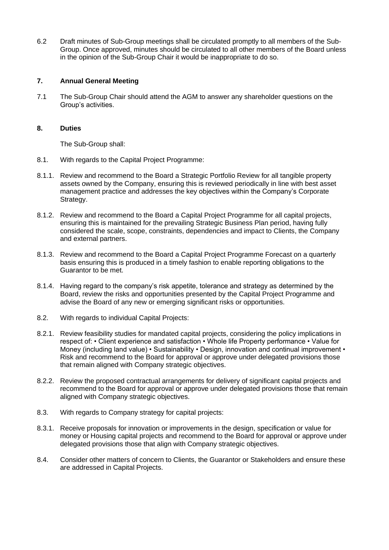6.2 Draft minutes of Sub-Group meetings shall be circulated promptly to all members of the Sub-Group. Once approved, minutes should be circulated to all other members of the Board unless in the opinion of the Sub-Group Chair it would be inappropriate to do so.

## **7. Annual General Meeting**

7.1 The Sub-Group Chair should attend the AGM to answer any shareholder questions on the Group's activities.

## **8. Duties**

The Sub-Group shall:

- 8.1. With regards to the Capital Project Programme:
- 8.1.1. Review and recommend to the Board a Strategic Portfolio Review for all tangible property assets owned by the Company, ensuring this is reviewed periodically in line with best asset management practice and addresses the key objectives within the Company's Corporate Strategy.
- 8.1.2. Review and recommend to the Board a Capital Project Programme for all capital projects, ensuring this is maintained for the prevailing Strategic Business Plan period, having fully considered the scale, scope, constraints, dependencies and impact to Clients, the Company and external partners.
- 8.1.3. Review and recommend to the Board a Capital Project Programme Forecast on a quarterly basis ensuring this is produced in a timely fashion to enable reporting obligations to the Guarantor to be met.
- 8.1.4. Having regard to the company's risk appetite, tolerance and strategy as determined by the Board, review the risks and opportunities presented by the Capital Project Programme and advise the Board of any new or emerging significant risks or opportunities.
- 8.2. With regards to individual Capital Projects:
- 8.2.1. Review feasibility studies for mandated capital projects, considering the policy implications in respect of: • Client experience and satisfaction • Whole life Property performance • Value for Money (including land value) • Sustainability • Design, innovation and continual improvement • Risk and recommend to the Board for approval or approve under delegated provisions those that remain aligned with Company strategic objectives.
- 8.2.2. Review the proposed contractual arrangements for delivery of significant capital projects and recommend to the Board for approval or approve under delegated provisions those that remain aligned with Company strategic objectives.
- 8.3. With regards to Company strategy for capital projects:
- 8.3.1. Receive proposals for innovation or improvements in the design, specification or value for money or Housing capital projects and recommend to the Board for approval or approve under delegated provisions those that align with Company strategic objectives.
- 8.4. Consider other matters of concern to Clients, the Guarantor or Stakeholders and ensure these are addressed in Capital Projects.